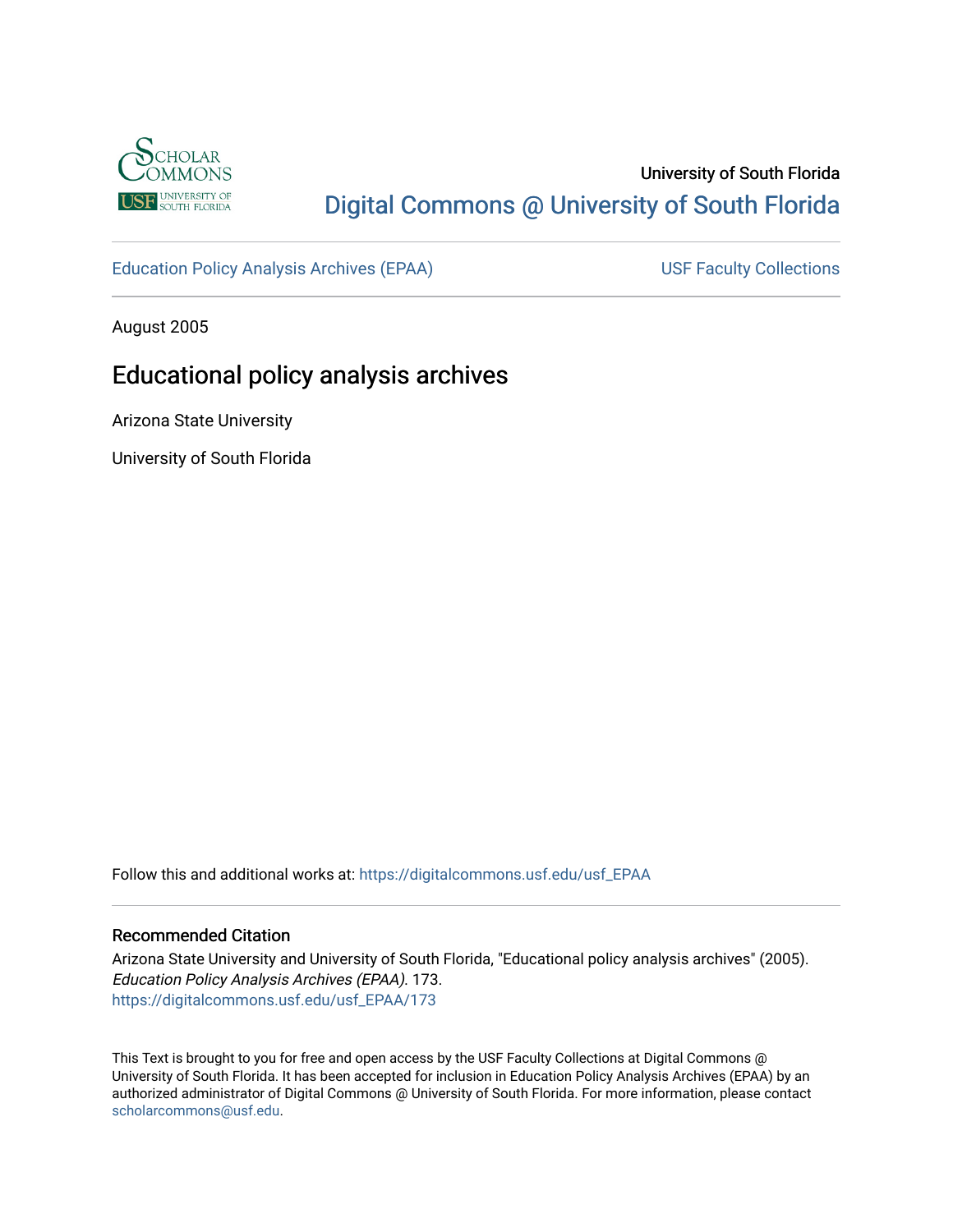

# University of South Florida [Digital Commons @ University of South Florida](https://digitalcommons.usf.edu/)

[Education Policy Analysis Archives \(EPAA\)](https://digitalcommons.usf.edu/usf_EPAA) USF Faculty Collections

August 2005

# Educational policy analysis archives

Arizona State University

University of South Florida

Follow this and additional works at: [https://digitalcommons.usf.edu/usf\\_EPAA](https://digitalcommons.usf.edu/usf_EPAA?utm_source=digitalcommons.usf.edu%2Fusf_EPAA%2F173&utm_medium=PDF&utm_campaign=PDFCoverPages)

#### Recommended Citation

Arizona State University and University of South Florida, "Educational policy analysis archives" (2005). Education Policy Analysis Archives (EPAA). 173. [https://digitalcommons.usf.edu/usf\\_EPAA/173](https://digitalcommons.usf.edu/usf_EPAA/173?utm_source=digitalcommons.usf.edu%2Fusf_EPAA%2F173&utm_medium=PDF&utm_campaign=PDFCoverPages)

This Text is brought to you for free and open access by the USF Faculty Collections at Digital Commons @ University of South Florida. It has been accepted for inclusion in Education Policy Analysis Archives (EPAA) by an authorized administrator of Digital Commons @ University of South Florida. For more information, please contact [scholarcommons@usf.edu.](mailto:scholarcommons@usf.edu)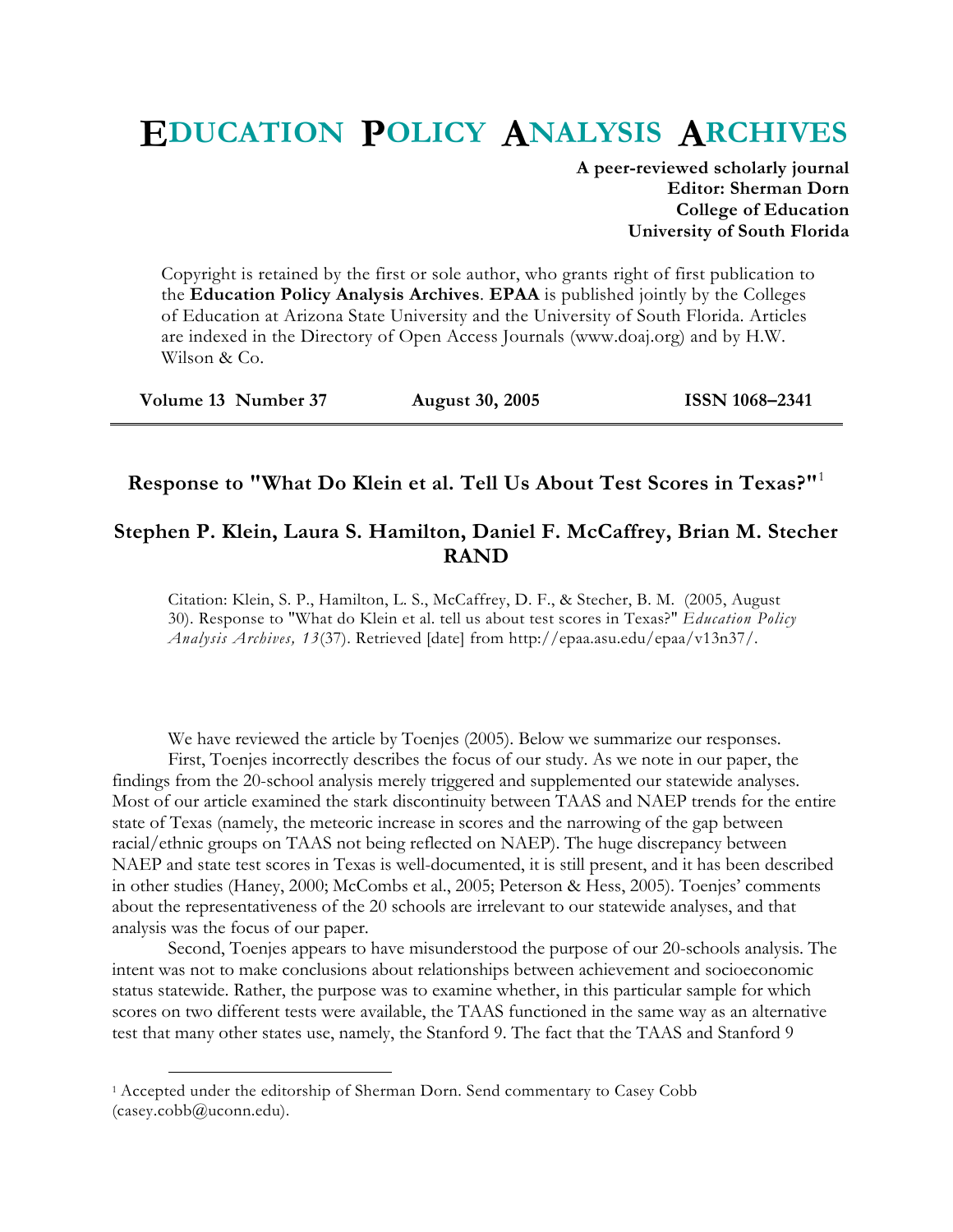# **EDUCATION POLICY ANALYSIS ARCHIVES**

**A peer-reviewed scholarly journal Editor: Sherman Dorn College of Education University of South Florida** 

Copyright is retained by the first or sole author, who grants right of first publication to the **Education Policy Analysis Archives**. **EPAA** is published jointly by the Colleges of Education at Arizona State University and the University of South Florida. Articles are indexed in the Directory of Open Access Journals (www.doaj.org) and by H.W. Wilson & Co.

| Volume 13 Number 37 | <b>August 30, 2005</b> | <b>ISSN 1068-2341</b> |
|---------------------|------------------------|-----------------------|
|---------------------|------------------------|-----------------------|

# **Response to "What Do Klein et al. Tell Us About Test Scores in Texas?"**<sup>1</sup>

## **Stephen P. Klein, Laura S. Hamilton, Daniel F. McCaffrey, Brian M. Stecher RAND**

Citation: Klein, S. P., Hamilton, L. S., McCaffrey, D. F., & Stecher, B. M. (2005, August 30). Response to "What do Klein et al. tell us about test scores in Texas?" *Education Policy Analysis Archives, 13*(37). Retrieved [date] from http://epaa.asu.edu/epaa/v13n37/.

We have reviewed the article by Toenjes (2005). Below we summarize our responses.

First, Toenjes incorrectly describes the focus of our study. As we note in our paper, the findings from the 20-school analysis merely triggered and supplemented our statewide analyses. Most of our article examined the stark discontinuity between TAAS and NAEP trends for the entire state of Texas (namely, the meteoric increase in scores and the narrowing of the gap between racial/ethnic groups on TAAS not being reflected on NAEP). The huge discrepancy between NAEP and state test scores in Texas is well-documented, it is still present, and it has been described in other studies (Haney, 2000; McCombs et al., 2005; Peterson & Hess, 2005). Toenjes' comments about the representativeness of the 20 schools are irrelevant to our statewide analyses, and that analysis was the focus of our paper.

Second, Toenjes appears to have misunderstood the purpose of our 20-schools analysis. The intent was not to make conclusions about relationships between achievement and socioeconomic status statewide. Rather, the purpose was to examine whether, in this particular sample for which scores on two different tests were available, the TAAS functioned in the same way as an alternative test that many other states use, namely, the Stanford 9. The fact that the TAAS and Stanford 9

 <sup>1</sup> Accepted under the editorship of Sherman Dorn. Send commentary to Casey Cobb (casey.cobb@uconn.edu).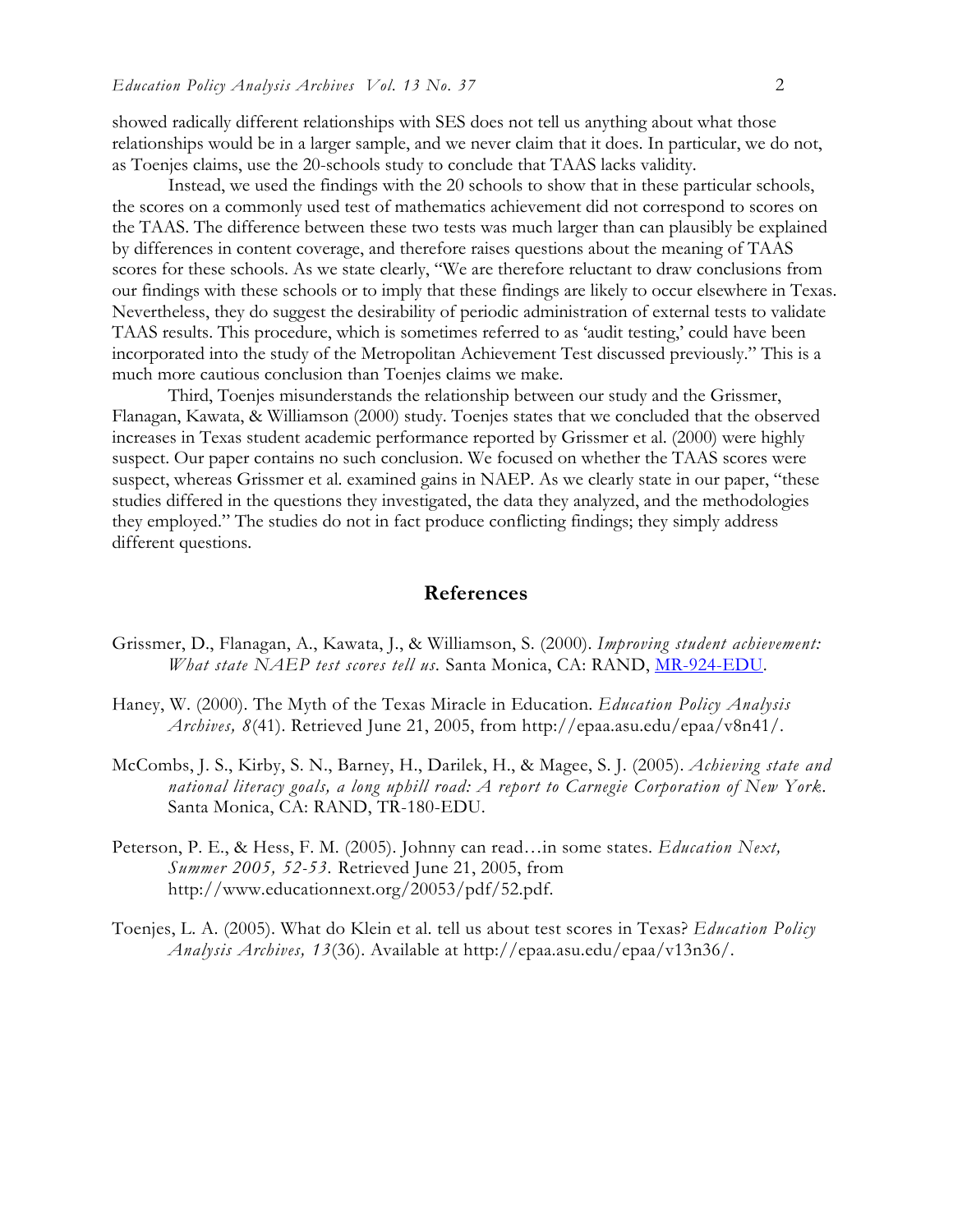showed radically different relationships with SES does not tell us anything about what those relationships would be in a larger sample, and we never claim that it does. In particular, we do not, as Toenjes claims, use the 20-schools study to conclude that TAAS lacks validity.

Instead, we used the findings with the 20 schools to show that in these particular schools, the scores on a commonly used test of mathematics achievement did not correspond to scores on the TAAS. The difference between these two tests was much larger than can plausibly be explained by differences in content coverage, and therefore raises questions about the meaning of TAAS scores for these schools. As we state clearly, "We are therefore reluctant to draw conclusions from our findings with these schools or to imply that these findings are likely to occur elsewhere in Texas. Nevertheless, they do suggest the desirability of periodic administration of external tests to validate TAAS results. This procedure, which is sometimes referred to as 'audit testing,' could have been incorporated into the study of the Metropolitan Achievement Test discussed previously." This is a much more cautious conclusion than Toenjes claims we make.

Third, Toenjes misunderstands the relationship between our study and the Grissmer, Flanagan, Kawata, & Williamson (2000) study. Toenjes states that we concluded that the observed increases in Texas student academic performance reported by Grissmer et al. (2000) were highly suspect. Our paper contains no such conclusion. We focused on whether the TAAS scores were suspect, whereas Grissmer et al. examined gains in NAEP. As we clearly state in our paper, "these studies differed in the questions they investigated, the data they analyzed, and the methodologies they employed." The studies do not in fact produce conflicting findings; they simply address different questions.

## **References**

- Grissmer, D., Flanagan, A., Kawata, J., & Williamson, S. (2000). *Improving student achievement: What state NAEP test scores tell us.* Santa Monica, CA: RAND, MR-924-EDU.
- Haney, W. (2000). The Myth of the Texas Miracle in Education. *Education Policy Analysis Archives, 8*(41). Retrieved June 21, 2005, from http://epaa.asu.edu/epaa/v8n41/.
- McCombs, J. S., Kirby, S. N., Barney, H., Darilek, H., & Magee, S. J. (2005). *Achieving state and national literacy goals, a long uphill road: A report to Carnegie Corporation of New York.*  Santa Monica, CA: RAND, TR-180-EDU.
- Peterson, P. E., & Hess, F. M. (2005). Johnny can read…in some states. *Education Next, Summer 2005, 52-53.* Retrieved June 21, 2005, from http://www.educationnext.org/20053/pdf/52.pdf.
- Toenjes, L. A. (2005). What do Klein et al. tell us about test scores in Texas? *Education Policy Analysis Archives, 13*(36). Available at http://epaa.asu.edu/epaa/v13n36/.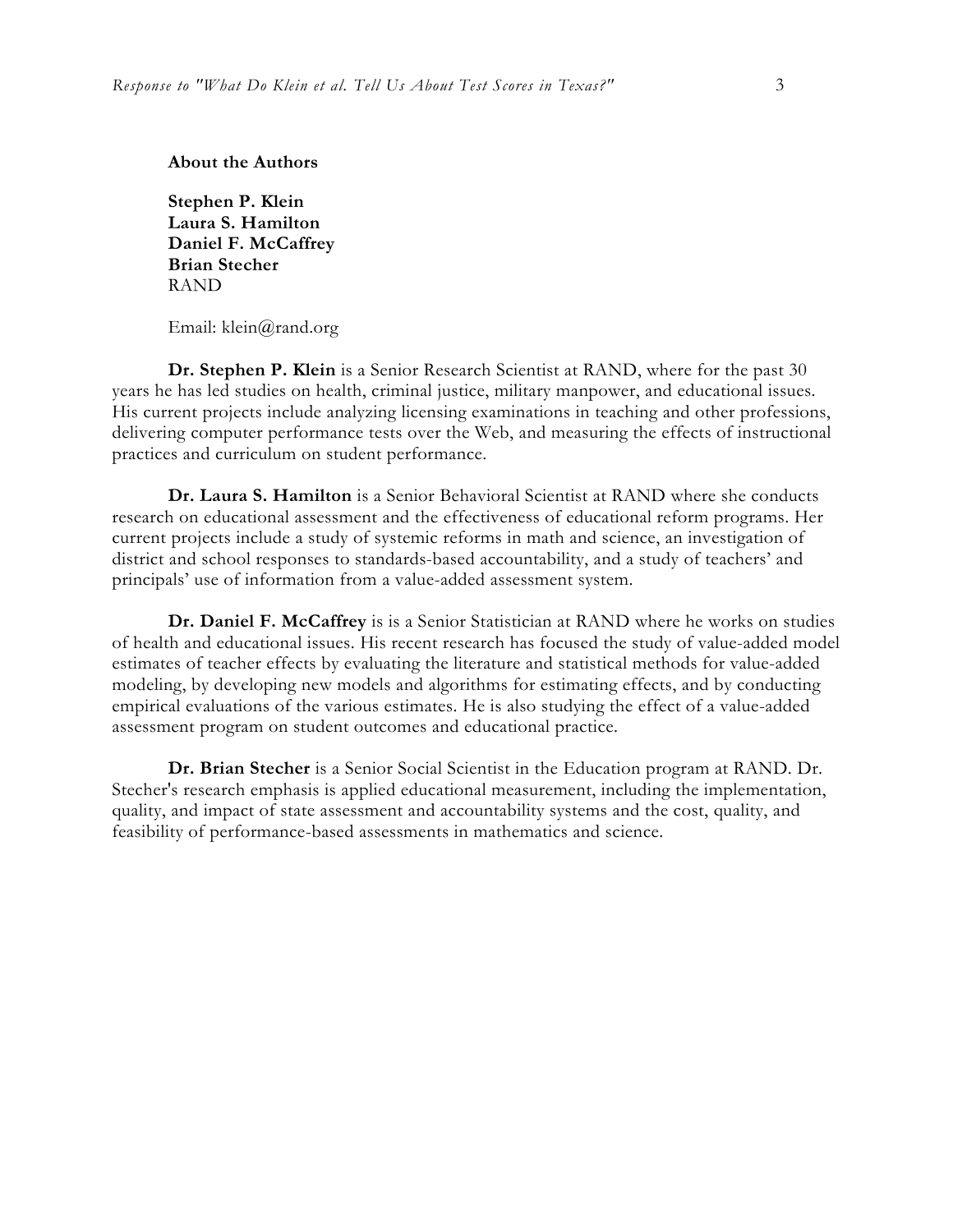**About the Authors** 

**Stephen P. Klein Laura S. Hamilton Daniel F. McCaffrey Brian Stecher**  RAND

Email: klein@rand.org

**Dr. Stephen P. Klein** is a Senior Research Scientist at RAND, where for the past 30 years he has led studies on health, criminal justice, military manpower, and educational issues. His current projects include analyzing licensing examinations in teaching and other professions, delivering computer performance tests over the Web, and measuring the effects of instructional practices and curriculum on student performance.

**Dr. Laura S. Hamilton** is a Senior Behavioral Scientist at RAND where she conducts research on educational assessment and the effectiveness of educational reform programs. Her current projects include a study of systemic reforms in math and science, an investigation of district and school responses to standards-based accountability, and a study of teachers' and principals' use of information from a value-added assessment system.

**Dr. Daniel F. McCaffrey** is is a Senior Statistician at RAND where he works on studies of health and educational issues. His recent research has focused the study of value-added model estimates of teacher effects by evaluating the literature and statistical methods for value-added modeling, by developing new models and algorithms for estimating effects, and by conducting empirical evaluations of the various estimates. He is also studying the effect of a value-added assessment program on student outcomes and educational practice.

**Dr. Brian Stecher** is a Senior Social Scientist in the Education program at RAND. Dr. Stecher's research emphasis is applied educational measurement, including the implementation, quality, and impact of state assessment and accountability systems and the cost, quality, and feasibility of performance-based assessments in mathematics and science.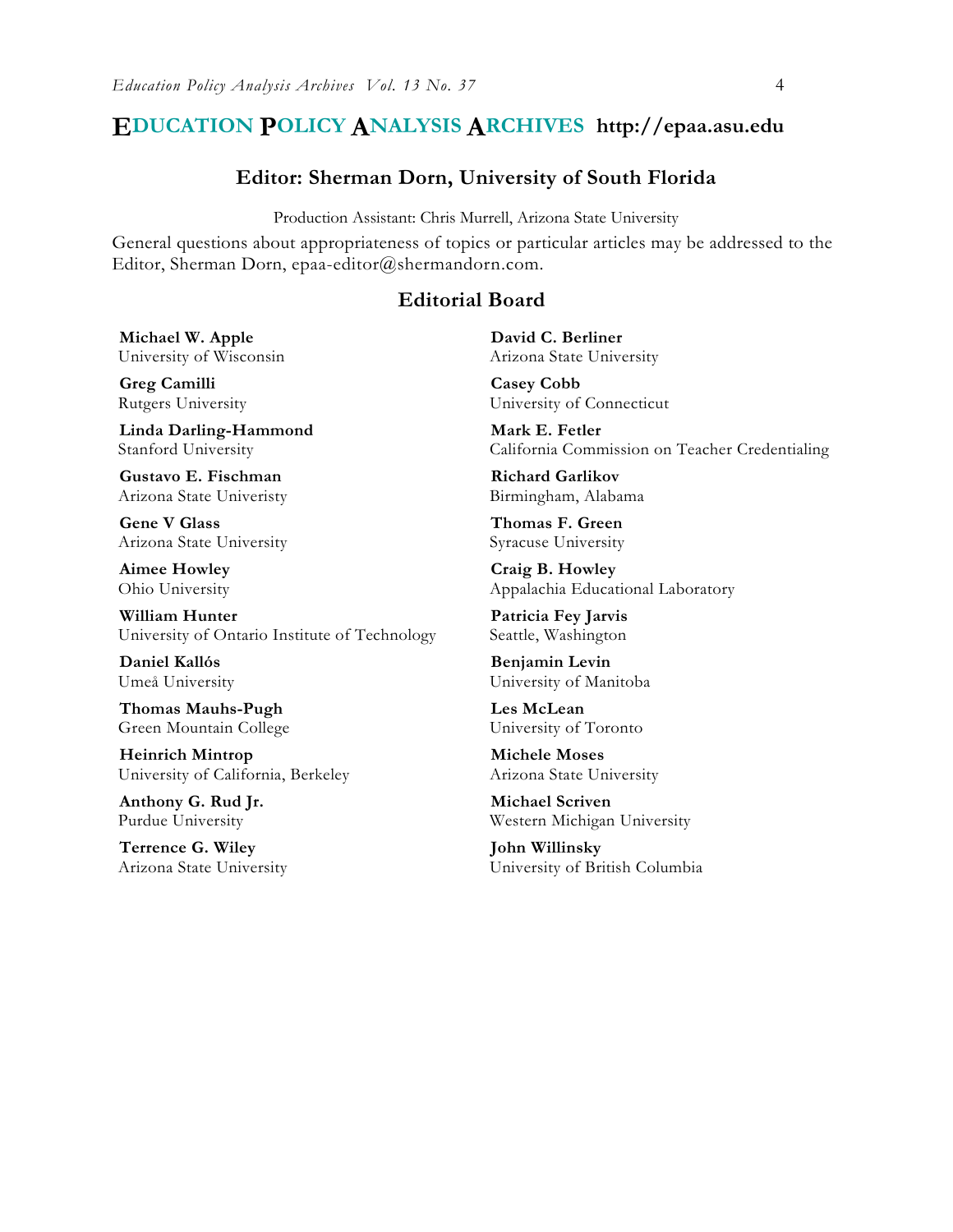## **EDUCATION POLICY ANALYSIS ARCHIVES http://epaa.asu.edu**

#### **Editor: Sherman Dorn, University of South Florida**

Production Assistant: Chris Murrell, Arizona State University

General questions about appropriateness of topics or particular articles may be addressed to the Editor, Sherman Dorn, epaa-editor@shermandorn.com.

## **Editorial Board**

**Michael W. Apple** University of Wisconsin

**Greg Camilli** Rutgers University

**Linda Darling-Hammond**  Stanford University

**Gustavo E. Fischman** Arizona State Univeristy

**Gene V Glass**  Arizona State University

**Aimee Howley** Ohio University

**William Hunter** University of Ontario Institute of Technology

**Daniel Kallós** Umeå University

**Thomas Mauhs-Pugh** Green Mountain College

**Heinrich Mintrop**  University of California, Berkeley

**Anthony G. Rud Jr.** Purdue University

**Terrence G. Wiley** Arizona State University **David C. Berliner**  Arizona State University

**Casey Cobb**  University of Connecticut

**Mark E. Fetler** California Commission on Teacher Credentialing

**Richard Garlikov** Birmingham, Alabama

**Thomas F. Green** Syracuse University

**Craig B. Howley** Appalachia Educational Laboratory

**Patricia Fey Jarvis**  Seattle, Washington

**Benjamin Levin** University of Manitoba

**Les McLean** University of Toronto

**Michele Moses** Arizona State University

**Michael Scriven** Western Michigan University

**John Willinsky** University of British Columbia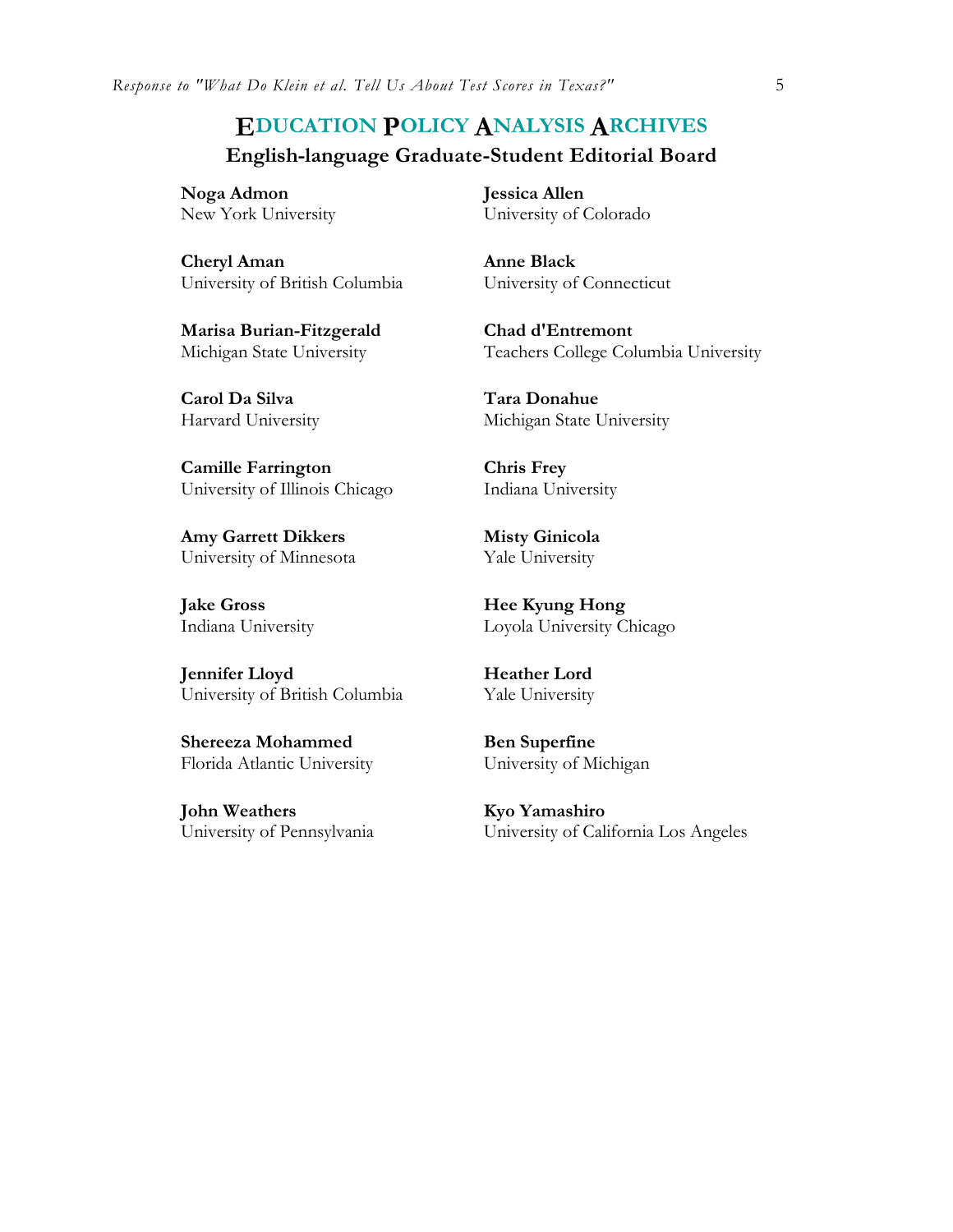# **EDUCATION POLICY ANALYSIS ARCHIVES English-language Graduate-Student Editorial Board**

**Noga Admon** New York University

**Cheryl Aman** University of British Columbia

**Marisa Burian-Fitzgerald** Michigan State University

**Carol Da Silva**  Harvard University

**Camille Farrington** University of Illinois Chicago

**Amy Garrett Dikkers** University of Minnesota

**Jake Gross**  Indiana University

**Jennifer Lloyd**  University of British Columbia

**Shereeza Mohammed** Florida Atlantic University

**John Weathers** University of Pennsylvania **Jessica Allen** University of Colorado

**Anne Black** University of Connecticut

**Chad d'Entremont** Teachers College Columbia University

**Tara Donahue** Michigan State University

**Chris Frey** Indiana University

**Misty Ginicola** Yale University

**Hee Kyung Hong** Loyola University Chicago

**Heather Lord** Yale University

**Ben Superfine** University of Michigan

**Kyo Yamashiro** University of California Los Angeles